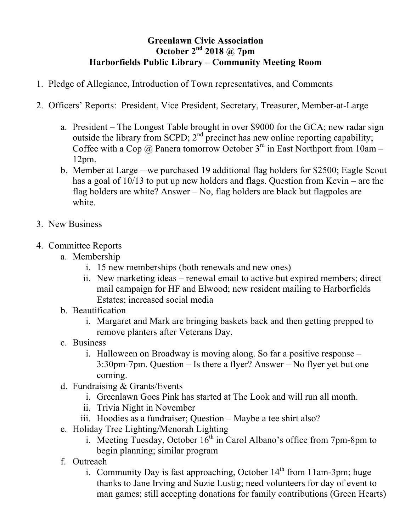## **Greenlawn Civic Association October 2nd 2018 @ 7pm Harborfields Public Library – Community Meeting Room**

- 1. Pledge of Allegiance, Introduction of Town representatives, and Comments
- 2. Officers' Reports: President, Vice President, Secretary, Treasurer, Member-at-Large
	- a. President The Longest Table brought in over \$9000 for the GCA; new radar sign outside the library from SCPD;  $2<sup>nd</sup>$  precinct has new online reporting capability; Coffee with a Cop @ Panera tomorrow October  $3<sup>rd</sup>$  in East Northport from 10am – 12pm.
	- b. Member at Large we purchased 19 additional flag holders for \$2500; Eagle Scout has a goal of 10/13 to put up new holders and flags. Question from Kevin – are the flag holders are white? Answer – No, flag holders are black but flagpoles are white.
- 3. New Business
- 4. Committee Reports
	- a. Membership
		- i. 15 new memberships (both renewals and new ones)
		- ii. New marketing ideas renewal email to active but expired members; direct mail campaign for HF and Elwood; new resident mailing to Harborfields Estates; increased social media
	- b. Beautification
		- i. Margaret and Mark are bringing baskets back and then getting prepped to remove planters after Veterans Day.
	- c. Business
		- i. Halloween on Broadway is moving along. So far a positive response 3:30pm-7pm. Question – Is there a flyer? Answer – No flyer yet but one coming.
	- d. Fundraising & Grants/Events
		- i. Greenlawn Goes Pink has started at The Look and will run all month.
		- ii. Trivia Night in November
		- iii. Hoodies as a fundraiser; Question Maybe a tee shirt also?
	- e. Holiday Tree Lighting/Menorah Lighting
		- i. Meeting Tuesday, October  $16<sup>th</sup>$  in Carol Albano's office from 7pm-8pm to begin planning; similar program
	- f. Outreach
		- i. Community Day is fast approaching, October  $14<sup>th</sup>$  from 11am-3pm; huge thanks to Jane Irving and Suzie Lustig; need volunteers for day of event to man games; still accepting donations for family contributions (Green Hearts)